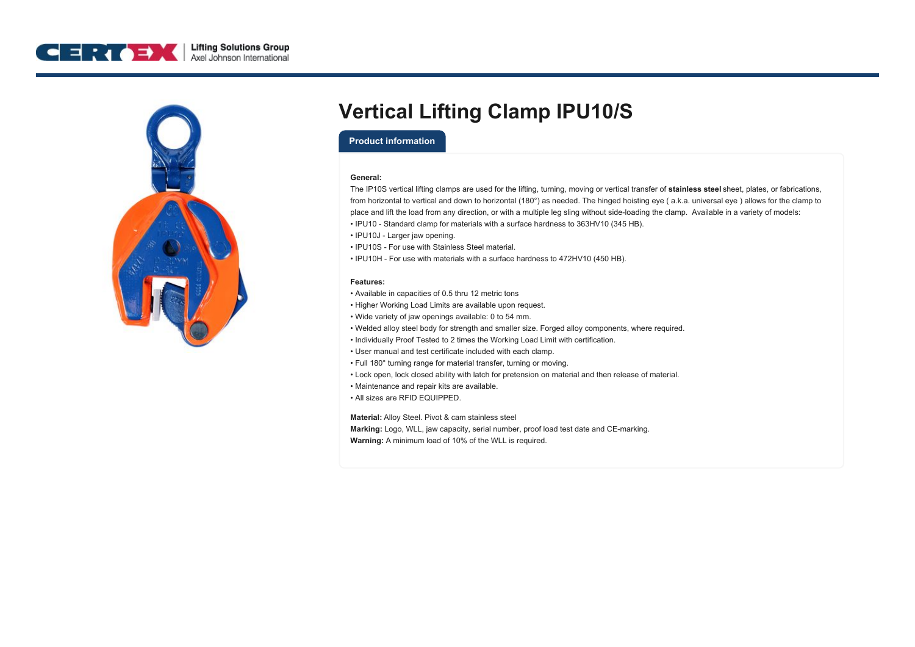



# **Vertical Lifting Clamp IPU10/S**

### **Product information**

#### **General:**

The IP10S vertical lifting clamps are used for the lifting, turning, moving or vertical transfer of **stainless steel** sheet, plates, or fabrications, from horizontal to vertical and down to horizontal (180°) as needed. The hinged hoisting eye ( a.k.a. universal eye ) allows for the clamp to place and lift the load from any direction, or with a multiple leg sling without side-loading the clamp. Available in a variety of models:

- IPU10 Standard clamp for materials with a surface hardness to 363HV10 (345 HB).
- IPU10J Larger jaw opening.
- IPU10S For use with Stainless Steel material.
- IPU10H For use with materials with a surface hardness to 472HV10 (450 HB).

#### **Features:**

- Available in capacities of 0.5 thru 12 metric tons
- Higher Working Load Limits are available upon request.
- Wide variety of jaw openings available: 0 to 54 mm.
- Welded alloy steel body for strength and smaller size. Forged alloy components, where required.
- Individually Proof Tested to 2 times the Working Load Limit with certification.
- User manual and test certificate included with each clamp.
- Full 180° turning range for material transfer, turning or moving.
- Lock open, lock closed ability with latch for pretension on material and then release of material.
- Maintenance and repair kits are available.
- All sizes are RFID EQUIPPED.

**Material:** Alloy Steel. Pivot & cam stainless steel **Marking:** Logo, WLL, jaw capacity, serial number, proof load test date and CE-marking. **Warning:** A minimum load of 10% of the WLL is required.